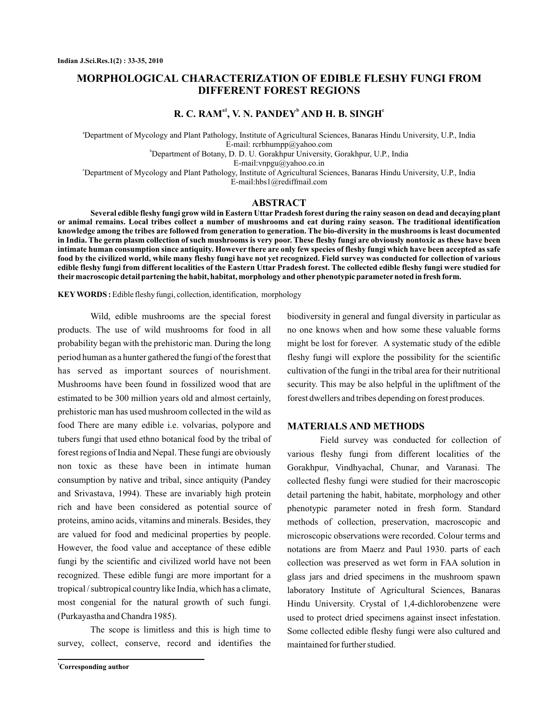# **MORPHOLOGICAL CHARACTERIZATION OF EDIBLE FLESHY FUNGI FROM DIFFERENT FOREST REGIONS**

## $R$ **. C. RAM<sup>a1</sup>, V. N. PANDEY<sup>b</sup> AND H. B. SINGH<sup>c</sup>**

a Department of Mycology and Plant Pathology, Institute of Agricultural Sciences, Banaras Hindu University, U.P., India b Department of Botany, D. D. U. Gorakhpur University, Gorakhpur, U.P., India E-mail: rcrbhumpp@yahoo.com

E-mail:vnpgu@yahoo.co.in

c Department of Mycology and Plant Pathology, Institute of Agricultural Sciences, Banaras Hindu University, U.P., India E-mail:hbs1@rediffmail.com

#### **ABSTRACT**

**Several edible fleshy fungi grow wild in Eastern Uttar Pradesh forest during the rainy season on dead and decaying plant or animal remains. Local tribes collect a number of mushrooms and eat during rainy season. The traditional identification knowledge among the tribes are followed from generation to generation. The bio-diversity in the mushrooms is least documented in India. The germ plasm collection of such mushrooms is very poor. These fleshy fungi are obviously nontoxic as these have been intimate human consumption since antiquity. However there are only few species of fleshy fungi which have been accepted as safe food by the civilized world, while many fleshy fungi have not yet recognized. Field survey was conducted for collection of various edible fleshy fungi from different localities of the Eastern Uttar Pradesh forest. The collected edible fleshy fungi were studied for their macroscopic detail partening the habit, habitat, morphology and other phenotypic parameter noted in fresh form.**

KEY WORDS : Edible fleshy fungi, collection, identification, morphology

Wild, edible mushrooms are the special forest products. The use of wild mushrooms for food in all probability began with the prehistoric man. During the long period human as a hunter gathered the fungi of the forest that has served as important sources of nourishment. Mushrooms have been found in fossilized wood that are estimated to be 300 million years old and almost certainly, prehistoric man has used mushroom collected in the wild as food There are many edible i.e. volvarias, polypore and tubers fungi that used ethno botanical food by the tribal of forest regions of India and Nepal. These fungi are obviously non toxic as these have been in intimate human consumption by native and tribal, since antiquity (Pandey and Srivastava, 1994). These are invariably high protein rich and have been considered as potential source of proteins, amino acids, vitamins and minerals. Besides, they are valued for food and medicinal properties by people. However, the food value and acceptance of these edible fungi by the scientific and civilized world have not been recognized. These edible fungi are more important for a tropical / subtropical country like India, which has a climate, most congenial for the natural growth of such fungi. (Purkayastha and Chandra 1985).

The scope is limitless and this is high time to survey, collect, conserve, record and identifies the

**<sup>1</sup>Corresponding author**

biodiversity in general and fungal diversity in particular as no one knows when and how some these valuable forms might be lost for forever. A systematic study of the edible fleshy fungi will explore the possibility for the scientific cultivation of the fungi in the tribal area for their nutritional security. This may be also helpful in the upliftment of the forest dwellers and tribes depending on forest produces.

#### **MATERIALS AND METHODS**

Field survey was conducted for collection of various fleshy fungi from different localities of the Gorakhpur, Vindhyachal, Chunar, and Varanasi. The collected fleshy fungi were studied for their macroscopic detail partening the habit, habitate, morphology and other phenotypic parameter noted in fresh form. Standard methods of collection, preservation, macroscopic and microscopic observations were recorded. Colour terms and notations are from Maerz and Paul 1930. parts of each collection was preserved as wet form in FAA solution in glass jars and dried specimens in the mushroom spawn laboratory Institute of Agricultural Sciences, Banaras Hindu University. Crystal of 1,4-dichlorobenzene were used to protect dried specimens against insect infestation. Some collected edible fleshy fungi were also cultured and maintained for further studied.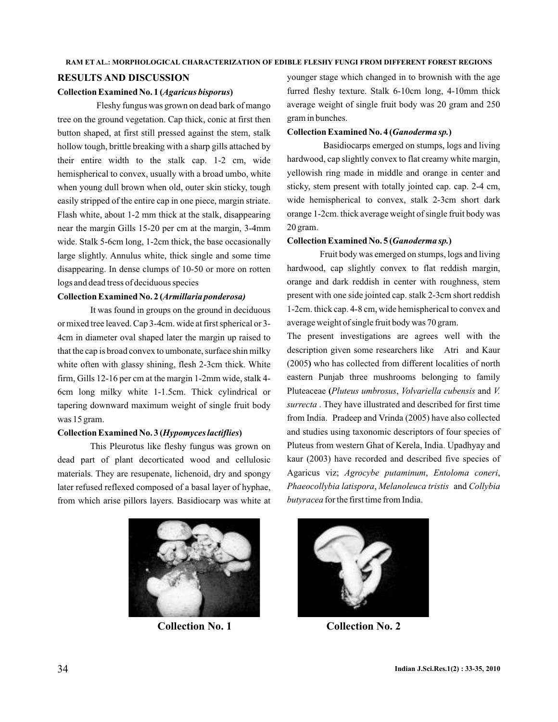#### **RAM ET AL.: MORPHOLOGICAL CHARACTERIZATION OF EDIBLE FLESHY FUNGI FROM DIFFERENT FOREST REGIONS**

## **RESULTS AND DISCUSSION**

#### Collection Examined No. 1 (Agaricus bisporus)

Fleshy fungus was grown on dead bark of mango tree on the ground vegetation. Cap thick, conic at first then button shaped, at first still pressed against the stem, stalk hollow tough, brittle breaking with a sharp gills attached by their entire width to the stalk cap. 1-2 cm, wide hemispherical to convex, usually with a broad umbo, white when young dull brown when old, outer skin sticky, tough easily stripped of the entire cap in one piece, margin striate. Flash white, about 1-2 mm thick at the stalk, disappearing near the margin Gills 15-20 per cm at the margin, 3-4mm wide. Stalk 5-6cm long, 1-2cm thick, the base occasionally large slightly. Annulus white, thick single and some time disappearing. In dense clumps of 10-50 or more on rotten logs and dead tress of deciduous species

#### **Collection Examined No. 2 (** *Armillaria ponderosa)*

It was found in groups on the ground in deciduous or mixed tree leaved. Cap 3-4cm. wide at first spherical or 3- 4cm in diameter oval shaped later the margin up raised to that the cap is broad convex to umbonate, surface shin milky white often with glassy shining, flesh 2-3cm thick. White firm, Gills 12-16 per cm at the margin 1-2mm wide, stalk 4- 6cm long milky white 1-1.5cm. Thick cylindrical or tapering downward maximum weight of single fruit body was 15 gram.

#### Collection Examined No. 3 (Hypomyces lactiflies)

This Pleurotus like fleshy fungus was grown on dead part of plant decorticated wood and cellulosic materials. They are resupenate, lichenoid, dry and spongy later refused reflexed composed of a basal layer of hyphae, from which arise pillors layers. Basidiocarp was white at



younger stage which changed in to brownish with the age furred fleshy texture. Stalk 6-10cm long, 4-10mm thick average weight of single fruit body was 20 gram and 250 gram in bunches.

#### Collection Examined No. 4 (Ganoderma sp.)

Basidiocarps emerged on stumps, logs and living hardwood, cap slightly convex to flat creamy white margin, yellowish ring made in middle and orange in center and sticky, stem present with totally jointed cap. cap. 2-4 cm, wide hemispherical to convex, stalk 2-3cm short dark orange 1-2cm. thick average weight of single fruit body was 20 gram.

#### Collection Examined No. 5 (Ganoderma sp.)

Fruit body was emerged on stumps, logs and living hardwood, cap slightly convex to flat reddish margin, orange and dark reddish in center with roughness, stem present with one side jointed cap. stalk 2-3cm short reddish 1-2cm. thick cap. 4-8 cm, wide hemispherical to convex and average weight of single fruit body was 70 gram.

The present investigations are agrees well with the description given some researchers like Atri and Kaur (2005) who has collected from different localities of north eastern Punjab three mushrooms belonging to family Pluteaceae (Pluteus umbrosus, Volvariella cubensis and V. . They have illustrated and described for first time *surrecta* from India. Pradeep and Vrinda (2005) have also collected and studies using taxonomic descriptors of four species of Pluteus from western Ghat of Kerela, India. Upadhyay and kaur (2003) have recorded and described five species of Agaricus viz; Agrocybe putaminum, Entoloma coneri, Phaeocollybia latispora, Melanoleuca tristis and Collybia butyracea for the first time from India.



**Collection No. 1 Collection No. 2**